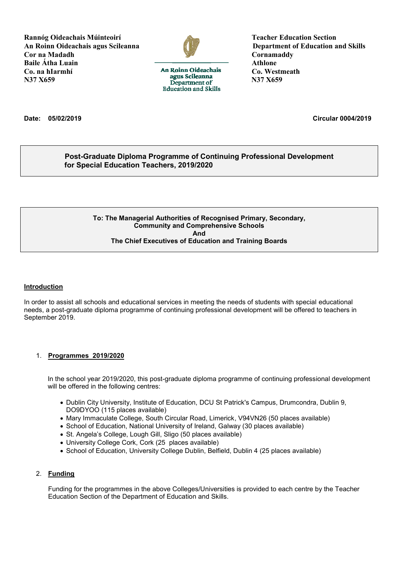**Rannóg Oideachais Múinteoirí Section Section Section Section Section Section Section Section Section Section Section Section Section Section Section Section Section Section Section Section Section Section Section Section An Roinn Oideachais agus Scileanna Department of Education and Skills Cor na Madadh Cornamaddy Baile Átha Luain Athlone Co. na hIarmhí Co. Nestmeath**<br> **Co. Westmeath**<br> **Co. Westmeath**<br> **Co. Westmeath**<br> **Co. Westmeath**<br> **Co. Westmeath N37 X659 N37 X659**



**Education and Skills** 

**Date: 05/02/2019 Circular 0004/2019**

### **Post-Graduate Diploma Programme of Continuing Professional Development for Special Education Teachers, 2019/2020**

#### **To: The Managerial Authorities of Recognised Primary, Secondary, Community and Comprehensive Schools And The Chief Executives of Education and Training Boards**

#### **Introduction**

In order to assist all schools and educational services in meeting the needs of students with special educational needs, a post-graduate diploma programme of continuing professional development will be offered to teachers in September 2019.

#### 1. **Programmes 2019/2020**

In the school year 2019/2020, this post-graduate diploma programme of continuing professional development will be offered in the following centres:

- Dublin City University, Institute of Education, DCU St Patrick's Campus, Drumcondra, Dublin 9, DO9DYOO (115 places available)
- Mary Immaculate College, South Circular Road, Limerick, V94VN26 (50 places available)
- School of Education, National University of Ireland, Galway (30 places available)
- St. Angela's College, Lough Gill, Sligo (50 places available)
- University College Cork, Cork (25 places available)
- School of Education, University College Dublin, Belfield, Dublin 4 (25 places available)

#### 2. **Funding**

Funding for the programmes in the above Colleges/Universities is provided to each centre by the Teacher Education Section of the Department of Education and Skills.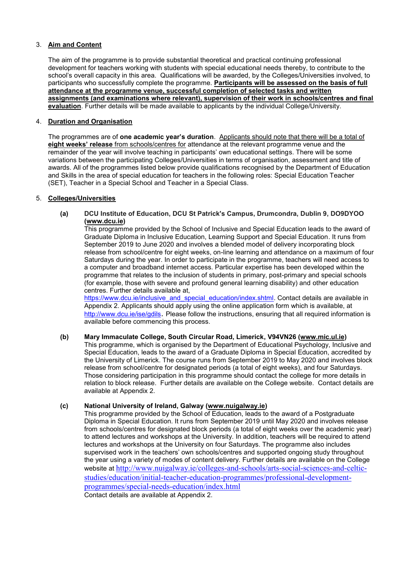#### 3. **Aim and Content**

The aim of the programme is to provide substantial theoretical and practical continuing professional development for teachers working with students with special educational needs thereby, to contribute to the school's overall capacity in this area. Qualifications will be awarded, by the Colleges/Universities involved, to participants who successfully complete the programme. **Participants will be assessed on the basis of full attendance at the programme venue, successful completion of selected tasks and written assignments (and examinations where relevant), supervision of their work in schools/centres and final evaluation**. Further details will be made available to applicants by the individual College/University.

#### 4. **Duration and Organisation**

The programmes are of **one academic year's duration**. Applicants should note that there will be a total of **eight weeks' release** from schools/centres for attendance at the relevant programme venue and the remainder of the year will involve teaching in participants' own educational settings. There will be some variations between the participating Colleges/Universities in terms of organisation, assessment and title of awards. All of the programmes listed below provide qualifications recognised by the Department of Education and Skills in the area of special education for teachers in the following roles: Special Education Teacher (SET), Teacher in a Special School and Teacher in a Special Class.

#### 5. **Colleges/Universities**

**(a) DCU Institute of Education, DCU St Patrick's Campus, Drumcondra, Dublin 9, DO9DYOO [\(www.dcu.ie\)](file:///C:/Users/Alma_Doyle/AppData/Local/Microsoft/Windows/Temporary%20Internet%20Files/Content.Outlook/AppData/Local/Microsoft/Windows/dmckeon/AppData/Local/Microsoft/Windows/Temporary%20Internet%20Files/Content.Outlook/RCGLJN53/www.dcu.ie)**

This programme provided by the School of Inclusive and Special Education leads to the award of Graduate Diploma in Inclusive Education, Learning Support and Special Education. It runs from September 2019 to June 2020 and involves a blended model of delivery incorporating block release from school/centre for eight weeks, on-line learning and attendance on a maximum of four Saturdays during the year. In order to participate in the programme, teachers will need access to a computer and broadband internet access. Particular expertise has been developed within the programme that relates to the inclusion of students in primary, post-primary and special schools (for example, those with severe and profound general learning disability) and other education centres. Further details available at,

[https://www.dcu.ie/inclusive\\_and\\_special\\_education/index.shtml.](https://www.dcu.ie/inclusive_and_special_education/index.shtml) Contact details are available in Appendix 2. Applicants should apply using the online application form which is available, at <http://www.dcu.ie/ise/gdils>. Please follow the instructions, ensuring that all required information is available before commencing this process.

#### **(b) Mary Immaculate College, South Circular Road, Limerick, V94VN26 [\(www.mic.ul.ie\)](http://www.mic.ul.ie/)** This programme, which is organised by the Department of Educational Psychology, Inclusive and Special Education, leads to the award of a Graduate Diploma in Special Education, accredited by the University of Limerick. The course runs from September 2019 to May 2020 and involves block release from school/centre for designated periods (a total of eight weeks), and four Saturdays. Those considering participation in this programme should contact the college for more details in relation to block release. Further details are available on the College website. Contact details are available at Appendix 2.

#### **(c) National University of Ireland, Galway [\(www.nuigalway.ie\)](http://www.nuigalway.ie/)**

This programme provided by the School of Education, leads to the award of a Postgraduate Diploma in Special Education. It runs from September 2019 until May 2020 and involves release from schools/centres for designated block periods (a total of eight weeks over the academic year) to attend lectures and workshops at the University. In addition, teachers will be required to attend lectures and workshops at the University on four Saturdays. The programme also includes supervised work in the teachers' own schools/centres and supported ongoing study throughout the year using a variety of modes of content delivery. Further details are available on the College website at [http://www.nuigalway.ie/colleges-and-schools/arts-social-sciences-and-celtic](http://www.nuigalway.ie/colleges-and-schools/arts-social-sciences-and-celtic-studies/education/initial-teacher-education-programmes/professional-development-programmes/special-needs-education/index.html)[studies/education/initial-teacher-education-programmes/professional-development](http://www.nuigalway.ie/colleges-and-schools/arts-social-sciences-and-celtic-studies/education/initial-teacher-education-programmes/professional-development-programmes/special-needs-education/index.html)[programmes/special-needs-education/index.html](http://www.nuigalway.ie/colleges-and-schools/arts-social-sciences-and-celtic-studies/education/initial-teacher-education-programmes/professional-development-programmes/special-needs-education/index.html) Contact details are available at Appendix 2.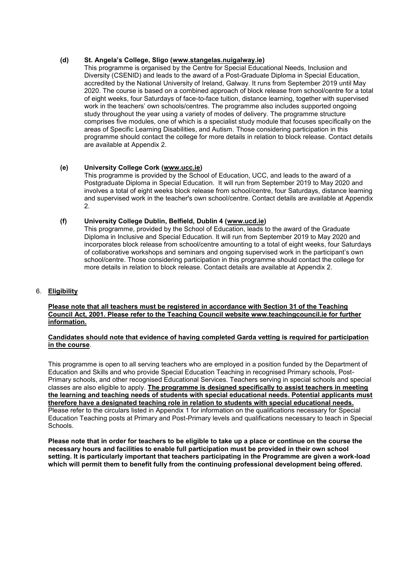#### **(d) St. Angela's College, Sligo ([www.stangelas.nuigalway.ie\)](http://www.stangelas.nuigalway.ie/)**

This programme is organised by the Centre for Special Educational Needs, Inclusion and Diversity (CSENID) and leads to the award of a Post-Graduate Diploma in Special Education, accredited by the National University of Ireland, Galway. It runs from September 2019 until May 2020. The course is based on a combined approach of block release from school/centre for a total of eight weeks, four Saturdays of face-to-face tuition, distance learning, together with supervised work in the teachers' own schools/centres. The programme also includes supported ongoing study throughout the year using a variety of modes of delivery. The programme structure comprises five modules, one of which is a specialist study module that focuses specifically on the areas of Specific Learning Disabilities, and Autism. Those considering participation in this programme should contact the college for more details in relation to block release. Contact details are available at Appendix 2.

### **(e) University College Cork [\(www.ucc.ie\)](http://www.ucc.ie/)**

This programme is provided by the School of Education, UCC, and leads to the award of a Postgraduate Diploma in Special Education. It will run from September 2019 to May 2020 and involves a total of eight weeks block release from school/centre, four Saturdays, distance learning and supervised work in the teacher's own school/centre. Contact details are available at Appendix 2.

#### **(f) University College Dublin, Belfield, Dublin 4 [\(www.ucd.ie\)](http://www.ucd.ie/)**

This programme, provided by the School of Education, leads to the award of the Graduate Diploma in Inclusive and Special Education. It will run from September 2019 to May 2020 and incorporates block release from school/centre amounting to a total of eight weeks, four Saturdays of collaborative workshops and seminars and ongoing supervised work in the participant's own school/centre. Those considering participation in this programme should contact the college for more details in relation to block release. Contact details are available at Appendix 2.

6. **Eligibility**

#### **Please note that all teachers must be registered in accordance with Section 31 of the Teaching Council Act, 2001. Please refer to the Teaching Council website [www.teachingcouncil.ie](http://www.teachingcouncil.ie/) for further information.**

#### **Candidates should note that evidence of having completed Garda vetting is required for participation in the course**.

This programme is open to all serving teachers who are employed in a position funded by the Department of Education and Skills and who provide Special Education Teaching in recognised Primary schools, Post-Primary schools, and other recognised Educational Services. Teachers serving in special schools and special classes are also eligible to apply. **The programme is designed specifically to assist teachers in meeting the learning and teaching needs of students with special educational needs. Potential applicants must therefore have a designated teaching role in relation to students with special educational needs.**  Please refer to the circulars listed in Appendix 1 for information on the qualifications necessary for Special Education Teaching posts at Primary and Post-Primary levels and qualifications necessary to teach in Special Schools.

**Please note that in order for teachers to be eligible to take up a place or continue on the course the necessary hours and facilities to enable full participation must be provided in their own school setting. It is particularly important that teachers participating in the Programme are given a work-load which will permit them to benefit fully from the continuing professional development being offered.**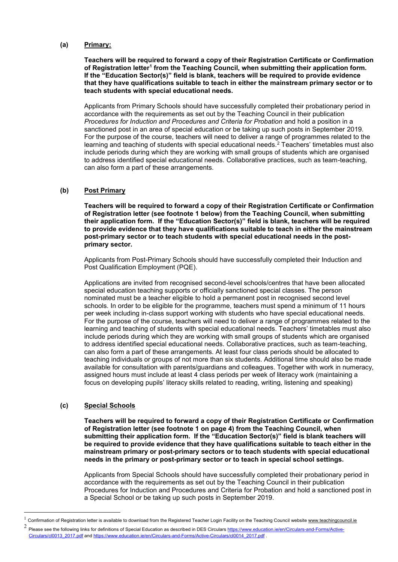#### **(a) Primary:**

**Teachers will be required to forward a copy of their Registration Certificate or Confirmation of Registration letter<sup>1</sup> from the Teaching Council, when submitting their application form. If the "Education Sector(s)" field is blank, teachers will be required to provide evidence that they have qualifications suitable to teach in either the mainstream primary sector or to teach students with special educational needs.**

Applicants from Primary Schools should have successfully completed their probationary period in accordance with the requirements as set out by the Teaching Council in their publication *Procedures for Induction and Procedures and Criteria for Probation* and hold a position in a sanctioned post in an area of special education or be taking up such posts in September 2019. For the purpose of the course, teachers will need to deliver a range of programmes related to the learning and teaching of students with special educational needs.<sup>2</sup> Teachers' timetables must also include periods during which they are working with small groups of students which are organised to address identified special educational needs. Collaborative practices, such as team-teaching, can also form a part of these arrangements.

### **(b) Post Primary**

**Teachers will be required to forward a copy of their Registration Certificate or Confirmation of Registration letter (see footnote 1 below) from the Teaching Council, when submitting their application form. If the "Education Sector(s)" field is blank, teachers will be required to provide evidence that they have qualifications suitable to teach in either the mainstream post-primary sector or to teach students with special educational needs in the postprimary sector.**

Applicants from Post-Primary Schools should have successfully completed their Induction and Post Qualification Employment (PQE).

Applications are invited from recognised second-level schools/centres that have been allocated special education teaching supports or officially sanctioned special classes. The person nominated must be a teacher eligible to hold a permanent post in recognised second level schools. In order to be eligible for the programme, teachers must spend a minimum of 11 hours per week including in-class support working with students who have special educational needs. For the purpose of the course, teachers will need to deliver a range of programmes related to the learning and teaching of students with special educational needs. Teachers' timetables must also include periods during which they are working with small groups of students which are organised to address identified special educational needs. Collaborative practices, such as team-teaching, can also form a part of these arrangements. At least four class periods should be allocated to teaching individuals or groups of not more than six students. Additional time should also be made available for consultation with parents/guardians and colleagues. Together with work in numeracy, assigned hours must include at least 4 class periods per week of literacy work (maintaining a focus on developing pupils' literacy skills related to reading, writing, listening and speaking)

#### **(c) Special Schools**

<u>.</u>

**Teachers will be required to forward a copy of their Registration Certificate or Confirmation of Registration letter (see footnote 1 on page 4) from the Teaching Council, when submitting their application form. If the "Education Sector(s)" field is blank teachers will be required to provide evidence that they have qualifications suitable to teach either in the mainstream primary or post-primary sectors or to teach students with special educational needs in the primary or post-primary sector or to teach in special school settings.**

Applicants from Special Schools should have successfully completed their probationary period in accordance with the requirements as set out by the Teaching Council in their publication Procedures for Induction and Procedures and Criteria for Probation and hold a sanctioned post in a Special School or be taking up such posts in September 2019.

 $1$  Confirmation of Registration letter is available to download from the Registered Teacher Login Facility on the Teaching Council websit[e www.teachingcouncil.ie](http://www.teachingcouncil.ie/)

<sup>2</sup> Please see the following links for definitions of Special Education as described in DES Circular[s https://www.education.ie/en/Circulars-and-Forms/Active-](https://www.education.ie/en/Circulars-and-Forms/Active-Circulars/cl0013_2017.pdf)[Circulars/cl0013\\_2017.pdf](https://www.education.ie/en/Circulars-and-Forms/Active-Circulars/cl0013_2017.pdf) and [https://www.education.ie/en/Circulars-and-Forms/Active-Circulars/cl0014\\_2017.pdf](https://www.education.ie/en/Circulars-and-Forms/Active-Circulars/cl0014_2017.pdf) .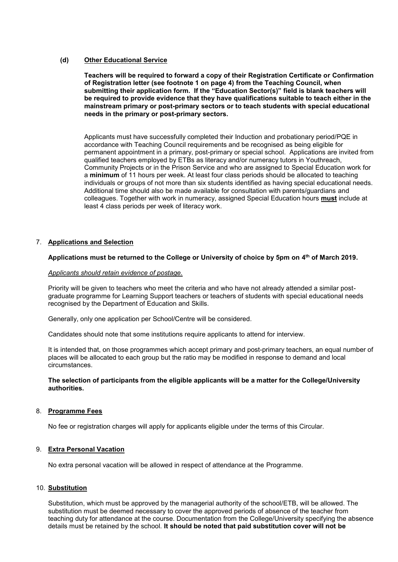#### **(d) Other Educational Service**

**Teachers will be required to forward a copy of their Registration Certificate or Confirmation of Registration letter (see footnote 1 on page 4) from the Teaching Council, when submitting their application form. If the "Education Sector(s)" field is blank teachers will be required to provide evidence that they have qualifications suitable to teach either in the mainstream primary or post-primary sectors or to teach students with special educational needs in the primary or post-primary sectors.** 

Applicants must have successfully completed their Induction and probationary period/PQE in accordance with Teaching Council requirements and be recognised as being eligible for permanent appointment in a primary, post-primary or special school. Applications are invited from qualified teachers employed by ETBs as literacy and/or numeracy tutors in Youthreach, Community Projects or in the Prison Service and who are assigned to Special Education work for a **minimum** of 11 hours per week. At least four class periods should be allocated to teaching individuals or groups of not more than six students identified as having special educational needs. Additional time should also be made available for consultation with parents/guardians and colleagues. Together with work in numeracy, assigned Special Education hours **must** include at least 4 class periods per week of literacy work.

#### 7. **Applications and Selection**

#### **Applications must be returned to the College or University of choice by 5pm on 4 th of March 2019.**

#### *Applicants should retain evidence of postage.*

Priority will be given to teachers who meet the criteria and who have not already attended a similar postgraduate programme for Learning Support teachers or teachers of students with special educational needs recognised by the Department of Education and Skills.

Generally, only one application per School/Centre will be considered.

Candidates should note that some institutions require applicants to attend for interview.

It is intended that, on those programmes which accept primary and post-primary teachers, an equal number of places will be allocated to each group but the ratio may be modified in response to demand and local circumstances.

#### **The selection of participants from the eligible applicants will be a matter for the College/University authorities.**

#### 8. **Programme Fees**

No fee or registration charges will apply for applicants eligible under the terms of this Circular.

#### 9. **Extra Personal Vacation**

No extra personal vacation will be allowed in respect of attendance at the Programme.

#### 10. **Substitution**

Substitution, which must be approved by the managerial authority of the school/ETB, will be allowed. The substitution must be deemed necessary to cover the approved periods of absence of the teacher from teaching duty for attendance at the course. Documentation from the College/University specifying the absence details must be retained by the school. **It should be noted that paid substitution cover will not be**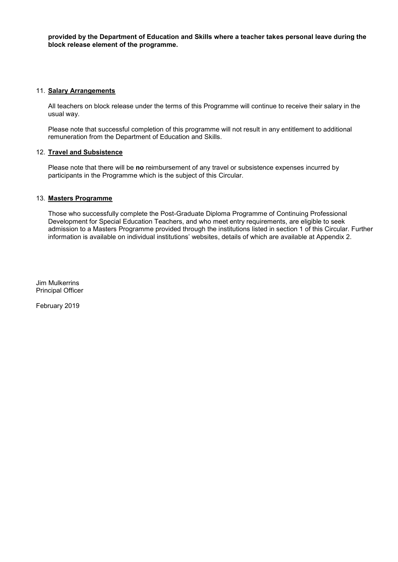**provided by the Department of Education and Skills where a teacher takes personal leave during the block release element of the programme.** 

#### 11. **Salary Arrangements**

All teachers on block release under the terms of this Programme will continue to receive their salary in the usual way.

Please note that successful completion of this programme will not result in any entitlement to additional remuneration from the Department of Education and Skills.

#### 12. **Travel and Subsistence**

Please note that there will be **no** reimbursement of any travel or subsistence expenses incurred by participants in the Programme which is the subject of this Circular.

#### 13. **Masters Programme**

Those who successfully complete the Post-Graduate Diploma Programme of Continuing Professional Development for Special Education Teachers, and who meet entry requirements, are eligible to seek admission to a Masters Programme provided through the institutions listed in section 1 of this Circular. Further information is available on individual institutions' websites, details of which are available at Appendix 2.

Jim Mulkerrins Principal Officer

February 2019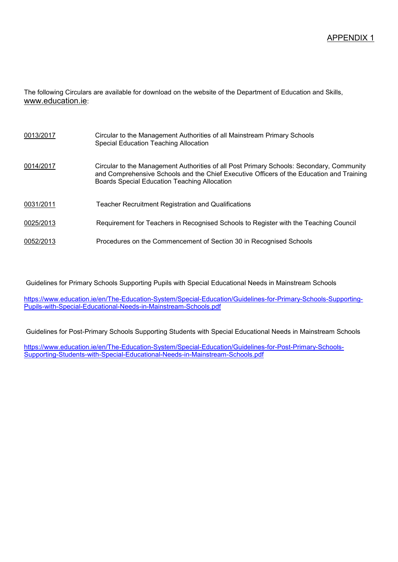The following Circulars are available for download on the website of the Department of Education and Skills, [www.education.ie](http://www.education.ie/):

| 0013/2017 | Circular to the Management Authorities of all Mainstream Primary Schools<br>Special Education Teaching Allocation                                                                                                                    |
|-----------|--------------------------------------------------------------------------------------------------------------------------------------------------------------------------------------------------------------------------------------|
| 0014/2017 | Circular to the Management Authorities of all Post Primary Schools: Secondary, Community<br>and Comprehensive Schools and the Chief Executive Officers of the Education and Training<br>Boards Special Education Teaching Allocation |
| 0031/2011 | <b>Teacher Recruitment Registration and Qualifications</b>                                                                                                                                                                           |
| 0025/2013 | Requirement for Teachers in Recognised Schools to Register with the Teaching Council                                                                                                                                                 |
| 0052/2013 | Procedures on the Commencement of Section 30 in Recognised Schools                                                                                                                                                                   |

Guidelines for Primary Schools Supporting Pupils with Special Educational Needs in Mainstream Schools

[https://www.education.ie/en/The-Education-System/Special-Education/Guidelines-for-Primary-Schools-Supporting-](https://www.education.ie/en/The-Education-System/Special-Education/Guidelines-for-Primary-Schools-Supporting-Pupils-with-Special-Educational-Needs-in-Mainstream-Schools.pdf)[Pupils-with-Special-Educational-Needs-in-Mainstream-Schools.pdf](https://www.education.ie/en/The-Education-System/Special-Education/Guidelines-for-Primary-Schools-Supporting-Pupils-with-Special-Educational-Needs-in-Mainstream-Schools.pdf)

Guidelines for Post-Primary Schools Supporting Students with Special Educational Needs in Mainstream Schools

[https://www.education.ie/en/The-Education-System/Special-Education/Guidelines-for-Post-Primary-Schools-](https://www.education.ie/en/The-Education-System/Special-Education/Guidelines-for-Post-Primary-Schools-Supporting-Students-with-Special-Educational-Needs-in-Mainstream-Schools.pdf)[Supporting-Students-with-Special-Educational-Needs-in-Mainstream-Schools.pdf](https://www.education.ie/en/The-Education-System/Special-Education/Guidelines-for-Post-Primary-Schools-Supporting-Students-with-Special-Educational-Needs-in-Mainstream-Schools.pdf)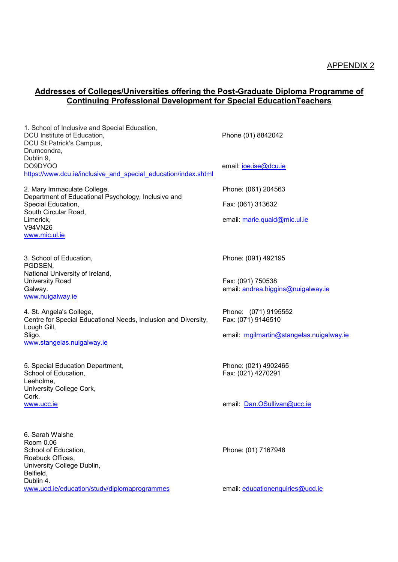## **Addresses of Colleges/Universities offering the Post-Graduate Diploma Programme of Continuing Professional Development for Special EducationTeachers**

| 1. School of Inclusive and Special Education,<br>DCU Institute of Education,<br>DCU St Patrick's Campus,<br>Drumcondra,<br>Dublin 9, | Phone (01) 8842042                                      |
|--------------------------------------------------------------------------------------------------------------------------------------|---------------------------------------------------------|
| DO9DYOO<br>https://www.dcu.ie/inclusive and special education/index.shtml                                                            | email: <i>ioe.ise@dcu.ie</i>                            |
| 2. Mary Immaculate College,<br>Department of Educational Psychology, Inclusive and                                                   | Phone: (061) 204563                                     |
| Special Education,<br>South Circular Road,                                                                                           | Fax: (061) 313632                                       |
| Limerick,<br>V94VN26<br>www.mic.ul.ie                                                                                                | email: marie.quaid@mic.ul.ie                            |
| 3. School of Education,<br>PGDSEN,                                                                                                   | Phone: (091) 492195                                     |
| National University of Ireland,<br><b>University Road</b><br>Galway.<br>www.nuigalway.ie                                             | Fax: (091) 750538<br>email: andrea.higgins@nuigalway.ie |
| 4. St. Angela's College,<br>Centre for Special Educational Needs, Inclusion and Diversity,<br>Lough Gill,                            | Phone: (071) 9195552<br>Fax: (071) 9146510              |
| Sligo.<br>www.stangelas.nuigalway.ie                                                                                                 | email: mgilmartin@stangelas.nuigalway.ie                |
| 5. Special Education Department,<br>School of Education,<br>Leeholme,<br>University College Cork,                                    | Phone: (021) 4902465<br>Fax: (021) 4270291              |
| Cork.<br>www.ucc.ie                                                                                                                  | email: Dan.OSullivan@ucc.ie                             |
| 6. Sarah Walshe<br>Room 0.06<br>School of Education,<br>Roebuck Offices,<br>University College Dublin,                               | Phone: (01) 7167948                                     |
| Belfield,<br>Dublin 4.<br>www.ucd.ie/education/study/diplomaprogrammes                                                               | email: educationenquiries@ucd.ie                        |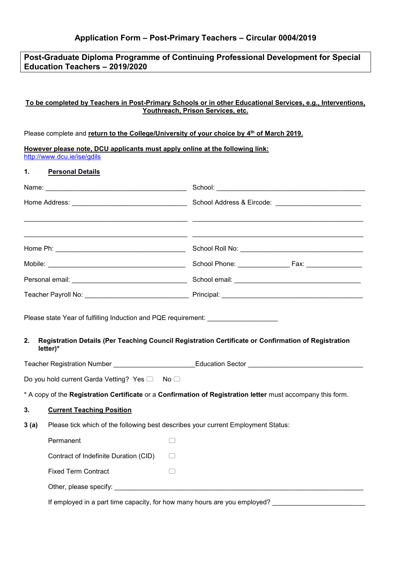## **Post-Graduate Diploma Programme of Continuing Professional Development for Special Education Teachers – 2019/2020**

### **To be completed by Teachers in Post-Primary Schools or in other Educational Services, e.g., Interventions, Youthreach, Prison Services, etc.**

|  |  |  | Please complete and return to the College/University of your choice by $4th$ of March 2019. |  |  |  |  |
|--|--|--|---------------------------------------------------------------------------------------------|--|--|--|--|
|--|--|--|---------------------------------------------------------------------------------------------|--|--|--|--|

**However please note, DCU applicants must apply online at the following link:** <http://www.dcu.ie/ise/gdils> **1. Personal Details** Name: \_\_\_\_\_\_\_\_\_\_\_\_\_\_\_\_\_\_\_\_\_\_\_\_\_\_\_\_\_\_\_\_\_\_\_\_\_\_ School: \_\_\_\_\_\_\_\_\_\_\_\_\_\_\_\_\_\_\_\_\_\_\_\_\_\_\_\_\_\_\_\_\_\_\_\_\_\_\_\_ Home Address: \_\_\_\_\_\_\_\_\_\_\_\_\_\_\_\_\_\_\_\_\_\_\_\_\_\_\_\_\_\_\_ School Address & Eircode: \_\_\_\_\_\_\_\_\_\_\_\_\_\_\_\_\_\_\_\_\_\_\_ \_\_\_\_\_\_\_\_\_\_\_\_\_\_\_\_\_\_\_\_\_\_\_\_\_\_\_\_\_\_\_\_\_\_\_\_\_\_\_\_\_\_\_\_ \_\_\_\_\_\_\_\_\_\_\_\_\_\_\_\_\_\_\_\_\_\_\_\_\_\_\_\_\_\_\_\_\_\_\_\_\_\_\_\_\_\_\_\_\_\_ \_\_\_\_\_\_\_\_\_\_\_\_\_\_\_\_\_\_\_\_\_\_\_\_\_\_\_\_\_\_\_\_\_\_\_\_\_\_\_\_\_\_\_\_ \_\_\_\_\_\_\_\_\_\_\_\_\_\_\_\_\_\_\_\_\_\_\_\_\_\_\_\_\_\_\_\_\_\_\_\_\_\_\_\_\_\_\_\_\_\_ Home Ph: \_\_\_\_\_\_\_\_\_\_\_\_\_\_\_\_\_\_\_\_\_\_\_\_\_\_\_\_\_\_\_\_\_\_\_ School Roll No: \_\_\_\_\_\_\_\_\_\_\_\_\_\_\_\_\_\_\_\_\_\_\_\_\_\_\_\_\_\_\_\_\_ Mobile: \_\_\_\_\_\_\_\_\_\_\_\_\_\_\_\_\_\_\_\_\_\_\_\_\_\_\_\_\_\_\_\_\_\_\_\_\_ School Phone: \_\_\_\_\_\_\_\_\_\_\_\_\_\_ Fax: \_\_\_\_\_\_\_\_\_\_\_\_\_\_\_ Personal email: \_\_\_\_\_\_\_\_\_\_\_\_\_\_\_\_\_\_\_\_\_\_\_\_\_\_\_\_\_\_\_ School email: \_\_\_\_\_\_\_\_\_\_\_\_\_\_\_\_\_\_\_\_\_\_\_\_\_\_\_\_\_\_\_\_\_\_ Teacher Payroll No: \_\_\_\_\_\_\_\_\_\_\_\_\_\_\_\_\_\_\_\_\_\_\_\_\_\_\_\_ Principal: \_\_\_\_\_\_\_\_\_\_\_\_\_\_\_\_\_\_\_\_\_\_\_\_\_\_\_\_\_\_\_\_\_\_\_\_\_\_ Please state Year of fulfilling Induction and PQE requirement: **2. Registration Details (Per Teaching Council Registration Certificate or Confirmation of Registration letter)\*** Teacher Registration Number \_\_\_\_\_\_\_\_\_\_\_\_\_\_\_\_\_\_\_\_\_\_Education Sector \_\_\_\_\_\_\_\_\_\_\_\_\_\_\_\_\_\_\_\_\_\_\_\_\_\_\_\_\_\_\_ Do you hold current Garda Vetting? Yes  $\Box$  No  $\Box$ \* A copy of the **Registration Certificate** or a **Confirmation of Registration letter** must accompany this form. **3. Current Teaching Position 3 (a)** Please tick which of the following best describes your current Employment Status: Permanent Contract of Indefinite Duration (CID)  $\qquad \Box$ Fixed Term Contract **Contract** Other, please specify:

If employed in a part time capacity, for how many hours are you employed?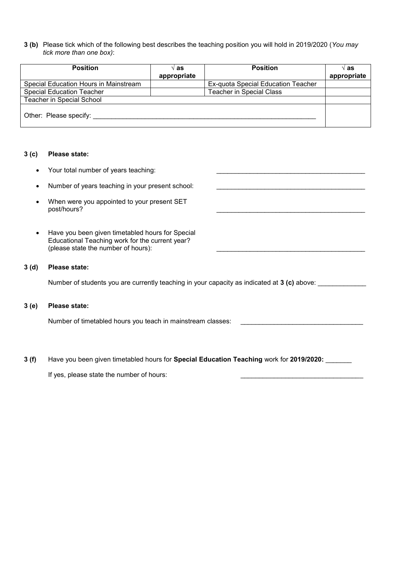**3 (b)** Please tick which of the following best describes the teaching position you will hold in 2019/2020 (*You may tick more than one box)*:

| <b>Position</b>                       | ∿ as        | <b>Position</b>                    | ∿ as        |
|---------------------------------------|-------------|------------------------------------|-------------|
|                                       | appropriate |                                    | appropriate |
| Special Education Hours in Mainstream |             | Ex-quota Special Education Teacher |             |
| <b>Special Education Teacher</b>      |             | <b>Teacher in Special Class</b>    |             |
| <b>Teacher in Special School</b>      |             |                                    |             |
| Other: Please specify:                |             |                                    |             |

#### **3 (c) Please state:**

- Your total number of years teaching:
- Number of years teaching in your present school:
- When were you appointed to your present SET post/hours?
- Have you been given timetabled hours for Special Educational Teaching work for the current year? (please state the number of hours):

#### **3 (d) Please state:**

Number of students you are currently teaching in your capacity as indicated at **3 (c)** above:

#### **3 (e) Please state:**

Number of timetabled hours you teach in mainstream classes:

**3 (f)** Have you been given timetabled hours for **Special Education Teaching** work for **2019/2020:** \_\_\_\_\_\_\_

If yes, please state the number of hours: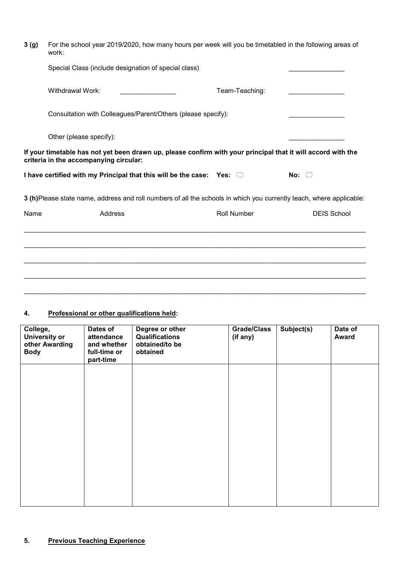| 3 <sub>(g)</sub> | For the school year 2019/2020, how many hours per week will you be timetabled in the following areas of<br>work: |                                                                                                                     |                |                    |  |
|------------------|------------------------------------------------------------------------------------------------------------------|---------------------------------------------------------------------------------------------------------------------|----------------|--------------------|--|
|                  | Special Class (include designation of special class)                                                             |                                                                                                                     |                |                    |  |
|                  | Withdrawal Work:                                                                                                 |                                                                                                                     | Team-Teaching: |                    |  |
|                  |                                                                                                                  | Consultation with Colleagues/Parent/Others (please specify):                                                        |                |                    |  |
|                  | Other (please specify):                                                                                          |                                                                                                                     |                |                    |  |
|                  | criteria in the accompanying circular:                                                                           | If your timetable has not yet been drawn up, please confirm with your principal that it will accord with the        |                |                    |  |
|                  |                                                                                                                  | I have certified with my Principal that this will be the case: Yes: $\Box$                                          |                | No: $\Box$         |  |
|                  |                                                                                                                  | 3 (h)Please state name, address and roll numbers of all the schools in which you currently teach, where applicable: |                |                    |  |
| Name             |                                                                                                                  | Address                                                                                                             | Roll Number    | <b>DEIS School</b> |  |
|                  |                                                                                                                  |                                                                                                                     |                |                    |  |
|                  |                                                                                                                  |                                                                                                                     |                |                    |  |
|                  |                                                                                                                  |                                                                                                                     |                |                    |  |

 $\_$  ,  $\_$  ,  $\_$  ,  $\_$  ,  $\_$  ,  $\_$  ,  $\_$  ,  $\_$  ,  $\_$  ,  $\_$  ,  $\_$  ,  $\_$  ,  $\_$  ,  $\_$  ,  $\_$  ,  $\_$  ,  $\_$  ,  $\_$  ,  $\_$  ,  $\_$  ,  $\_$  ,  $\_$  ,  $\_$  ,  $\_$  ,  $\_$  ,  $\_$  ,  $\_$  ,  $\_$  ,  $\_$  ,  $\_$  ,  $\_$  ,  $\_$  ,  $\_$  ,  $\_$  ,  $\_$  ,  $\_$  ,  $\_$  ,

\_\_\_\_\_\_\_\_\_\_\_\_\_\_\_\_\_\_\_\_\_\_\_\_\_\_\_\_\_\_\_\_\_\_\_\_\_\_\_\_\_\_\_\_\_\_\_\_\_\_\_\_\_\_\_\_\_\_\_\_\_\_\_\_\_\_\_\_\_\_\_\_\_\_\_\_\_\_\_\_\_\_\_\_\_\_\_\_\_\_\_\_

# **4. Professional or other qualifications held:**

| College,<br><b>University or</b><br>other Awarding<br><b>Body</b> | Dates of<br>attendance<br>and whether<br>full-time or<br>part-time | Degree or other<br><b>Qualifications</b><br>obtained/to be<br>obtained | <b>Grade/Class</b><br>(if any) | Subject(s) | Date of<br><b>Award</b> |
|-------------------------------------------------------------------|--------------------------------------------------------------------|------------------------------------------------------------------------|--------------------------------|------------|-------------------------|
|                                                                   |                                                                    |                                                                        |                                |            |                         |
|                                                                   |                                                                    |                                                                        |                                |            |                         |
|                                                                   |                                                                    |                                                                        |                                |            |                         |
|                                                                   |                                                                    |                                                                        |                                |            |                         |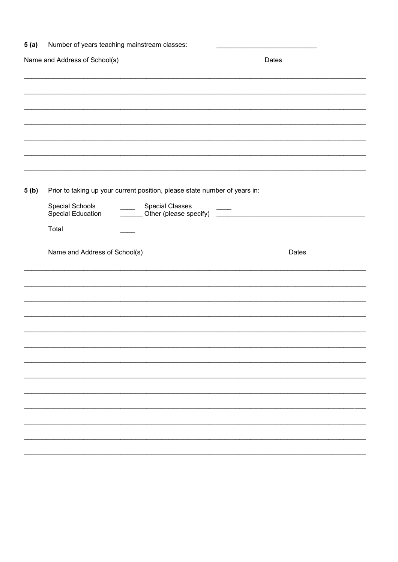| 5(a) | Number of years teaching mainstream classes:                                                                                                                                                                                        |       |
|------|-------------------------------------------------------------------------------------------------------------------------------------------------------------------------------------------------------------------------------------|-------|
|      | Name and Address of School(s)                                                                                                                                                                                                       | Dates |
|      |                                                                                                                                                                                                                                     |       |
|      |                                                                                                                                                                                                                                     |       |
|      |                                                                                                                                                                                                                                     |       |
|      |                                                                                                                                                                                                                                     |       |
|      |                                                                                                                                                                                                                                     |       |
| 5(b) | Prior to taking up your current position, please state number of years in:<br>Special Schools<br><b>Special Classes</b><br>$\frac{1}{2}$<br><b>Special Education</b><br>$\mathcal{L}^{\text{max}}$ , and $\mathcal{L}^{\text{max}}$ |       |
|      | Total                                                                                                                                                                                                                               |       |
|      | Name and Address of School(s)                                                                                                                                                                                                       | Dates |
|      |                                                                                                                                                                                                                                     |       |
|      |                                                                                                                                                                                                                                     |       |
|      |                                                                                                                                                                                                                                     |       |
|      |                                                                                                                                                                                                                                     |       |
|      |                                                                                                                                                                                                                                     |       |
|      |                                                                                                                                                                                                                                     |       |
|      |                                                                                                                                                                                                                                     |       |
|      |                                                                                                                                                                                                                                     |       |
|      |                                                                                                                                                                                                                                     |       |
|      |                                                                                                                                                                                                                                     |       |
|      |                                                                                                                                                                                                                                     |       |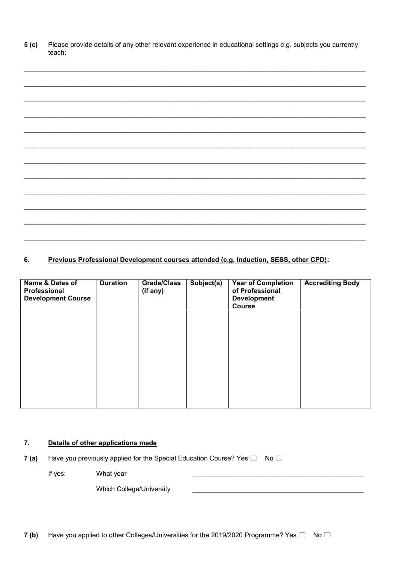$5( c)$ Please provide details of any other relevant experience in educational settings e.g. subjects you currently teach:

#### Previous Professional Development courses attended (e.g. Induction, SESS, other CPD): 6.

| Name & Dates of<br>Professional<br><b>Development Course</b> | <b>Duration</b> | <b>Grade/Class</b><br>(if any) | Subject(s) | <b>Year of Completion</b><br>of Professional<br><b>Development</b><br><b>Course</b> | <b>Accrediting Body</b> |
|--------------------------------------------------------------|-----------------|--------------------------------|------------|-------------------------------------------------------------------------------------|-------------------------|
|                                                              |                 |                                |            |                                                                                     |                         |
|                                                              |                 |                                |            |                                                                                     |                         |
|                                                              |                 |                                |            |                                                                                     |                         |

#### $\overline{7}$ . Details of other applications made

Have you previously applied for the Special Education Course? Yes  $\Box$  No  $\Box$  $7(a)$ 

If yes: What year

**Which College/University**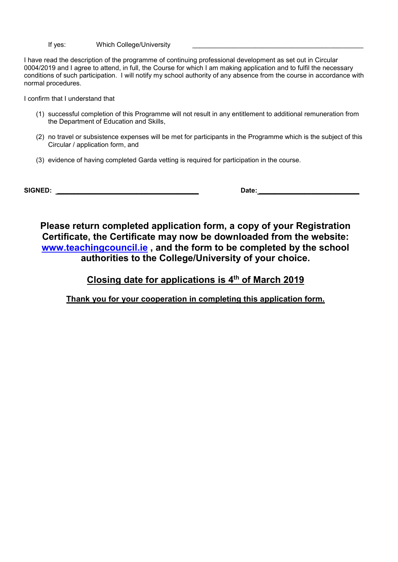If yes: Which College/University

I have read the description of the programme of continuing professional development as set out in Circular 0004/2019 and I agree to attend, in full, the Course for which I am making application and to fulfil the necessary conditions of such participation. I will notify my school authority of any absence from the course in accordance with normal procedures.

I confirm that I understand that

- (1) successful completion of this Programme will not result in any entitlement to additional remuneration from the Department of Education and Skills,
- (2) no travel or subsistence expenses will be met for participants in the Programme which is the subject of this Circular / application form, and
- (3) evidence of having completed Garda vetting is required for participation in the course.

**SIGNED: \_\_\_\_\_\_\_\_\_\_\_\_\_\_\_\_\_\_\_\_\_\_\_\_\_\_\_\_\_\_\_\_\_\_\_\_\_\_ Date: \_\_\_\_\_\_\_\_\_\_\_\_\_\_\_\_\_\_\_\_\_\_\_\_\_\_\_**

**Please return completed application form, a copy of your Registration Certificate, the Certificate may now be downloaded from the website: [www.teachingcouncil.ie](http://www.teachingcouncil.ie/) , and the form to be completed by the school authorities to the College/University of your choice.** 

**Closing date for applications is 4 th of March 2019**

**Thank you for your cooperation in completing this application form.**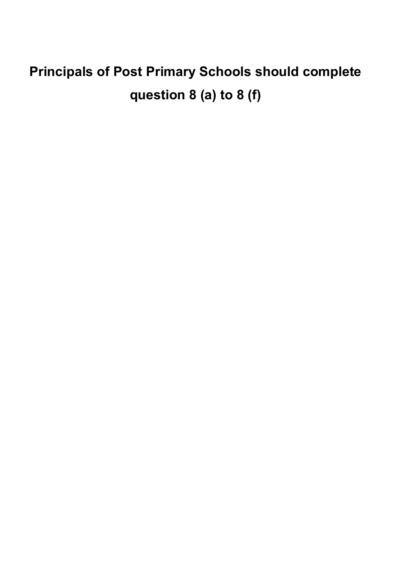# **Principals of Post Primary Schools should complete question 8 (a) to 8 (f)**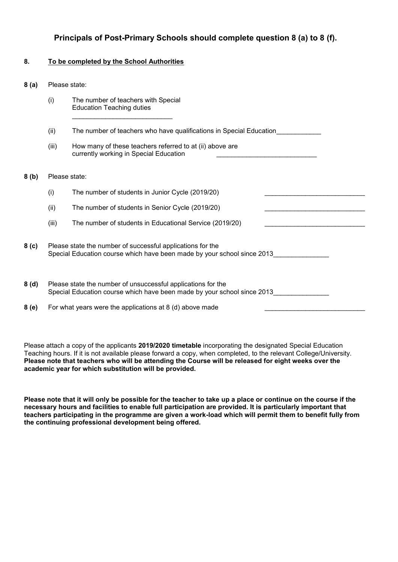# **Principals of Post-Primary Schools should complete question 8 (a) to 8 (f).**

#### **8. To be completed by the School Authorities**

**8 (a)** Please state:

|                  | (i)                                                                                                                                   | The number of teachers with Special<br><b>Education Teaching duties</b>                                                                 |  |
|------------------|---------------------------------------------------------------------------------------------------------------------------------------|-----------------------------------------------------------------------------------------------------------------------------------------|--|
|                  | (ii)                                                                                                                                  | The number of teachers who have qualifications in Special Education                                                                     |  |
|                  | (iii)                                                                                                                                 | How many of these teachers referred to at (ii) above are<br>currently working in Special Education                                      |  |
| 8(b)             | Please state:                                                                                                                         |                                                                                                                                         |  |
|                  | (i)                                                                                                                                   | The number of students in Junior Cycle (2019/20)                                                                                        |  |
|                  | (ii)                                                                                                                                  | The number of students in Senior Cycle (2019/20)                                                                                        |  |
|                  | (iii)                                                                                                                                 | The number of students in Educational Service (2019/20)                                                                                 |  |
| 8 <sub>(c)</sub> | Please state the number of successful applications for the<br>Special Education course which have been made by your school since 2013 |                                                                                                                                         |  |
| 8(d)             |                                                                                                                                       | Please state the number of unsuccessful applications for the<br>Special Education course which have been made by your school since 2013 |  |
| 8(e)             | For what years were the applications at $8$ (d) above made                                                                            |                                                                                                                                         |  |

Please attach a copy of the applicants **2019/2020 timetable** incorporating the designated Special Education Teaching hours. If it is not available please forward a copy, when completed, to the relevant College/University. **Please note that teachers who will be attending the Course will be released for eight weeks over the academic year for which substitution will be provided.**

**Please note that it will only be possible for the teacher to take up a place or continue on the course if the necessary hours and facilities to enable full participation are provided. It is particularly important that teachers participating in the programme are given a work-load which will permit them to benefit fully from the continuing professional development being offered.**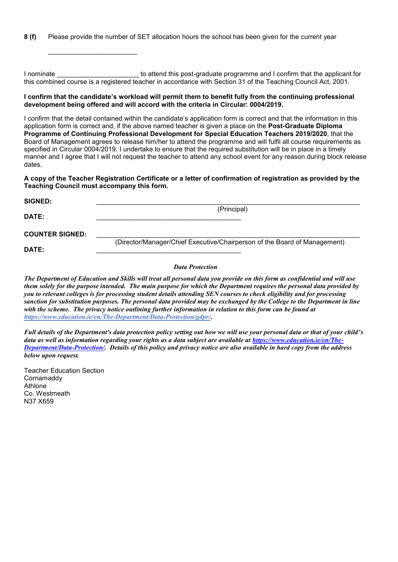**8 (f)** Please provide the number of SET allocation hours the school has been given for the current year

I nominate **EXECUTE:** The attend this post-graduate programme and I confirm that the applicant for this combined course is a registered teacher in accordance with Section 31 of the Teaching Council Act, 2001.

#### **I confirm that the candidate's workload will permit them to benefit fully from the continuing professional development being offered and will accord with the criteria in Circular: 0004/2019.**

I confirm that the detail contained within the candidate's application form is correct and that the information in this application form is correct and, if the above named teacher is given a place on the **Post-Graduate Diploma Programme of Continuing Professional Development for Special Education Teachers 2019/2020**, that the Board of Management agrees to release him/her to attend the programme and will fulfil all course requirements as specified in Circular 0004/2019. I undertake to ensure that the required substitution will be in place in a timely manner and I agree that I will not request the teacher to attend any school event for any reason during block release dates.

#### **A copy of the Teacher Registration Certificate or a letter of confirmation of registration as provided by the Teaching Council must accompany this form.**

| <b>SIGNED:</b>         |                                                                           |
|------------------------|---------------------------------------------------------------------------|
| DATE:                  | (Principal)                                                               |
| <b>COUNTER SIGNED:</b> |                                                                           |
| DATE:                  | (Director/Manager/Chief Executive/Chairperson of the Board of Management) |

#### *Data Protection*

*The Department of Education and Skills will treat all personal data you provide on this form as confidential and will use them solely for the purpose intended. The main purpose for which the Department requires the personal data provided by you to relevant colleges is for processing student details attending SEN courses to check eligibility and for processing sanction for substitution purposes. The personal data provided may be exchanged by the College to the Department in line with the scheme. The privacy notice outlining further information in relation to this form can be found at <https://www.education.ie/en/The-Department/Data-Protection/gdpr/>***.**

*Full details of the Department's data protection policy setting out how we will use your personal data or that of your child's data as well as information regarding your rights as a data subject are available at [https://www.education.ie/en/The-](https://www.education.ie/en/The-Department/Data-Protection/)[Department/Data-Protection/.](https://www.education.ie/en/The-Department/Data-Protection/) Details of this policy and privacy notice are also available in hard copy from the address below upon request.*

Teacher Education Section Cornamaddy Athlone Co. Westmeath N37 X659

 $\mathcal{L}_\text{max} = \frac{1}{2} \sum_{i=1}^{n} \frac{1}{2} \sum_{i=1}^{n} \frac{1}{2} \sum_{i=1}^{n} \frac{1}{2} \sum_{i=1}^{n} \frac{1}{2} \sum_{i=1}^{n} \frac{1}{2} \sum_{i=1}^{n} \frac{1}{2} \sum_{i=1}^{n} \frac{1}{2} \sum_{i=1}^{n} \frac{1}{2} \sum_{i=1}^{n} \frac{1}{2} \sum_{i=1}^{n} \frac{1}{2} \sum_{i=1}^{n} \frac{1}{2} \sum_{i=1}^{n} \frac{1$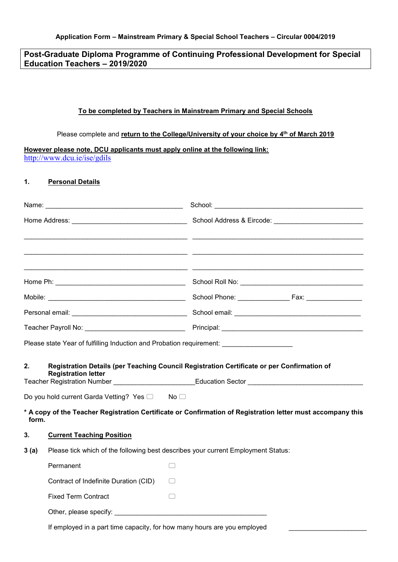## **Post-Graduate Diploma Programme of Continuing Professional Development for Special Education Teachers – 2019/2020**

### **To be completed by Teachers in Mainstream Primary and Special Schools**

#### Please complete and **return to the College/University of your choice by 4 th of March 2019**

**However please note, DCU applicants must apply online at the following link:**  <http://www.dcu.ie/ise/gdils>

### **1. Personal Details**

|                                                                                           |                                               | <u> 1989 - Johann John Stone, Amerikaansk politiker (* 1908)</u>                                                                                                                                   |
|-------------------------------------------------------------------------------------------|-----------------------------------------------|----------------------------------------------------------------------------------------------------------------------------------------------------------------------------------------------------|
|                                                                                           |                                               |                                                                                                                                                                                                    |
|                                                                                           |                                               |                                                                                                                                                                                                    |
|                                                                                           |                                               |                                                                                                                                                                                                    |
|                                                                                           |                                               |                                                                                                                                                                                                    |
|                                                                                           |                                               |                                                                                                                                                                                                    |
|                                                                                           |                                               |                                                                                                                                                                                                    |
| 2.                                                                                        | <b>Registration letter</b>                    | Registration Details (per Teaching Council Registration Certificate or per Confirmation of<br>Teacher Registration Number ________________________Education Sector _______________________________ |
|                                                                                           | Do you hold current Garda Vetting? Yes □ No □ |                                                                                                                                                                                                    |
| form.                                                                                     |                                               | * A copy of the Teacher Registration Certificate or Confirmation of Registration letter must accompany this                                                                                        |
| 3.                                                                                        | <b>Current Teaching Position</b>              |                                                                                                                                                                                                    |
| Please tick which of the following best describes your current Employment Status:<br>3(a) |                                               |                                                                                                                                                                                                    |
|                                                                                           | Permanent                                     | $\begin{array}{cc} \end{array}$                                                                                                                                                                    |
|                                                                                           | Contract of Indefinite Duration (CID)         |                                                                                                                                                                                                    |
|                                                                                           | <b>Fixed Term Contract</b>                    | $\Box$                                                                                                                                                                                             |
|                                                                                           |                                               |                                                                                                                                                                                                    |

If employed in a part time capacity, for how many hours are you employed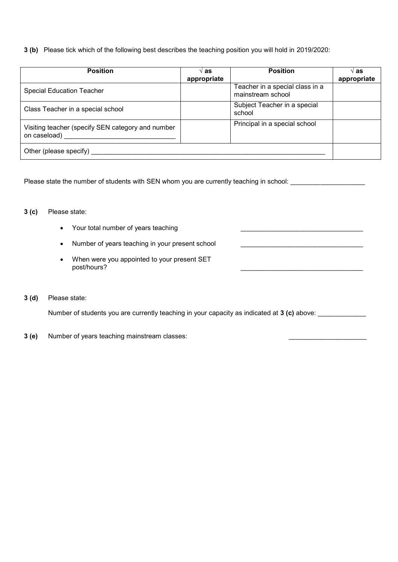**3 (b)** Please tick which of the following best describes the teaching position you will hold in 2019/2020:

| <b>Position</b>                                                   | √ as<br>appropriate | <b>Position</b>                                      | $\vee$ as<br>appropriate |
|-------------------------------------------------------------------|---------------------|------------------------------------------------------|--------------------------|
| <b>Special Education Teacher</b>                                  |                     | Teacher in a special class in a<br>mainstream school |                          |
| Class Teacher in a special school                                 |                     | Subject Teacher in a special<br>school               |                          |
| Visiting teacher (specify SEN category and number<br>on caseload) |                     | Principal in a special school                        |                          |
| Other (please specify)                                            |                     |                                                      |                          |

Please state the number of students with SEN whom you are currently teaching in school: \_\_\_\_\_\_\_\_\_\_\_\_\_\_\_\_\_\_\_\_\_\_

#### **3 (c)** Please state:

- Your total number of years teaching
- Number of years teaching in your present school
- When were you appointed to your present SET post/hours?

#### **3 (d)** Please state:

Number of students you are currently teaching in your capacity as indicated at **3 (c)** above: \_\_\_\_\_\_\_\_\_\_\_\_\_

**3 (e)** Number of years teaching mainstream classes: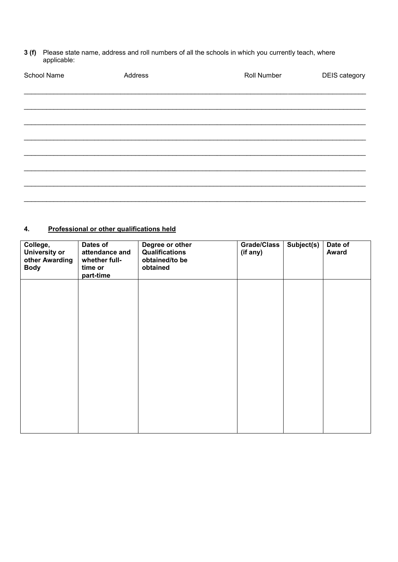**3 (f)** Please state name, address and roll numbers of all the schools in which you currently teach, where applicable:

| School Name | Address | Roll Number | DEIS category |
|-------------|---------|-------------|---------------|
|             |         |             |               |
|             |         |             |               |
|             |         |             |               |
|             |         |             |               |
|             |         |             |               |
|             |         |             |               |
|             |         |             |               |
|             |         |             |               |
|             |         |             |               |

# **4. Professional or other qualifications held**

| College,<br><b>University or</b><br>other Awarding<br><b>Body</b> | Dates of<br>attendance and<br>whether full-<br>time or<br>part-time | Degree or other<br>Qualifications<br>obtained/to be<br>obtained | Grade/Class<br>(if any) | Subject(s) | Date of<br><b>Award</b> |
|-------------------------------------------------------------------|---------------------------------------------------------------------|-----------------------------------------------------------------|-------------------------|------------|-------------------------|
|                                                                   |                                                                     |                                                                 |                         |            |                         |
|                                                                   |                                                                     |                                                                 |                         |            |                         |
|                                                                   |                                                                     |                                                                 |                         |            |                         |
|                                                                   |                                                                     |                                                                 |                         |            |                         |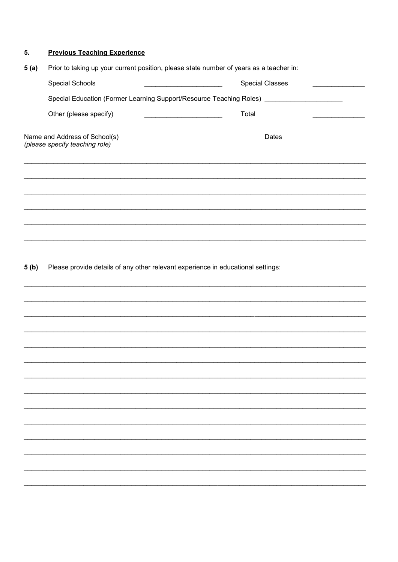#### **Previous Teaching Experience** 5.

| 5(a) | Prior to taking up your current position, please state number of years as a teacher in: |                                                                           |                        |
|------|-----------------------------------------------------------------------------------------|---------------------------------------------------------------------------|------------------------|
|      | <b>Special Schools</b>                                                                  |                                                                           | <b>Special Classes</b> |
|      |                                                                                         | Special Education (Former Learning Support/Resource Teaching Roles) _____ |                        |
|      | Other (please specify)                                                                  | Total                                                                     |                        |
|      | Name and Address of School(s)<br>(please specify teaching role)                         |                                                                           | Dates                  |
|      |                                                                                         |                                                                           |                        |
|      |                                                                                         |                                                                           |                        |
|      |                                                                                         |                                                                           |                        |
|      |                                                                                         |                                                                           |                        |
|      |                                                                                         |                                                                           |                        |

Please provide details of any other relevant experience in educational settings:  $5(b)$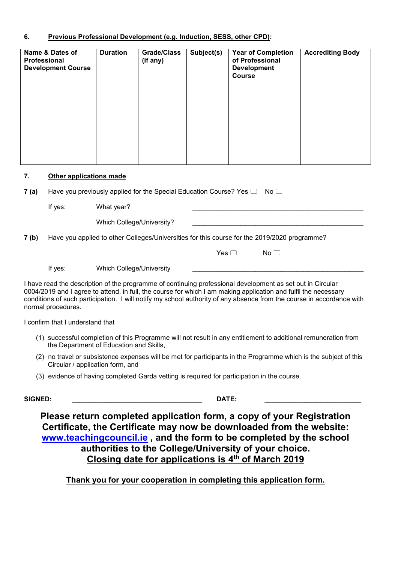### **6. Previous Professional Development (e.g. Induction, SESS, other CPD):**

| Name & Dates of<br>Professional<br><b>Development Course</b> | <b>Duration</b> | <b>Grade/Class</b><br>(if any) | Subject(s) | <b>Year of Completion</b><br>of Professional<br><b>Development</b><br><b>Course</b> | <b>Accrediting Body</b> |
|--------------------------------------------------------------|-----------------|--------------------------------|------------|-------------------------------------------------------------------------------------|-------------------------|
|                                                              |                 |                                |            |                                                                                     |                         |
|                                                              |                 |                                |            |                                                                                     |                         |
|                                                              |                 |                                |            |                                                                                     |                         |
|                                                              |                 |                                |            |                                                                                     |                         |

#### **7. Other applications made**

**7 (a)** Have you previously applied for the Special Education Course? Yes  $\Box$  No  $\Box$ 

If yes: What year?

Which College/University?

**7 (b)** Have you applied to other Colleges/Universities for this course for the 2019/2020 programme?

 $Yes \Box$  No  $\Box$ 

If yes: Which College/University

I have read the description of the programme of continuing professional development as set out in Circular 0004/2019 and I agree to attend, in full, the course for which I am making application and fulfil the necessary conditions of such participation. I will notify my school authority of any absence from the course in accordance with normal procedures.

I confirm that I understand that

- (1) successful completion of this Programme will not result in any entitlement to additional remuneration from the Department of Education and Skills,
- (2) no travel or subsistence expenses will be met for participants in the Programme which is the subject of this Circular / application form, and
- (3) evidence of having completed Garda vetting is required for participation in the course.

**SIGNED:** \_\_\_\_\_\_\_\_\_\_\_\_\_\_\_\_\_\_\_\_\_\_\_\_\_\_\_\_\_\_\_\_\_\_\_ **DATE:** \_\_\_\_\_\_\_\_\_\_\_\_\_\_\_\_\_\_\_\_\_\_\_\_\_\_

**Please return completed application form, a copy of your Registration Certificate, the Certificate may now be downloaded from the website: [www.teachingcouncil.ie](http://www.teachingcouncil.ie/) , and the form to be completed by the school authorities to the College/University of your choice. Closing date for applications is 4 th of March 2019**

**Thank you for your cooperation in completing this application form.**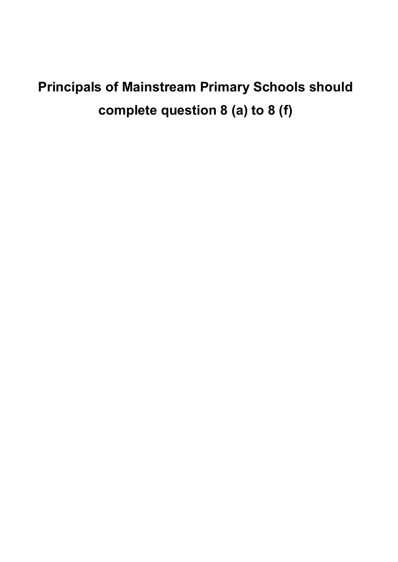# **Principals of Mainstream Primary Schools should complete question 8 (a) to 8 (f)**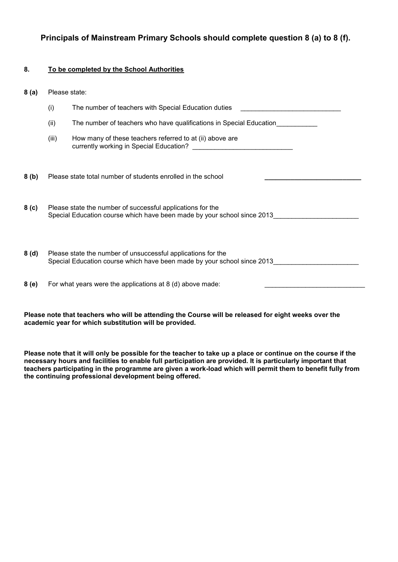**Principals of Mainstream Primary Schools should complete question 8 (a) to 8 (f).** 

### **8. To be completed by the School Authorities**

| 8(a)             | Please state: |                                                                                                                                         |  |
|------------------|---------------|-----------------------------------------------------------------------------------------------------------------------------------------|--|
|                  | (i)           | The number of teachers with Special Education duties                                                                                    |  |
|                  | (ii)          | The number of teachers who have qualifications in Special Education                                                                     |  |
|                  | (iii)         | How many of these teachers referred to at (ii) above are                                                                                |  |
| 8(b)             |               | Please state total number of students enrolled in the school                                                                            |  |
| 8 <sub>(c)</sub> |               | Please state the number of successful applications for the<br>Special Education course which have been made by your school since 2013   |  |
| 8(d)             |               | Please state the number of unsuccessful applications for the<br>Special Education course which have been made by your school since 2013 |  |
| 8 (e)            |               | For what years were the applications at 8 (d) above made:                                                                               |  |

**Please note that teachers who will be attending the Course will be released for eight weeks over the academic year for which substitution will be provided.**

**Please note that it will only be possible for the teacher to take up a place or continue on the course if the necessary hours and facilities to enable full participation are provided. It is particularly important that teachers participating in the programme are given a work-load which will permit them to benefit fully from the continuing professional development being offered.**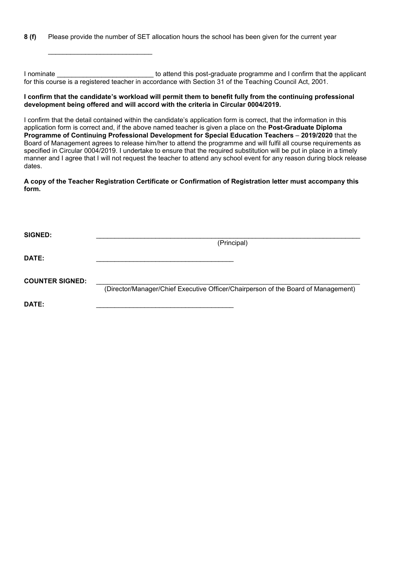**8 (f)** Please provide the number of SET allocation hours the school has been given for the current year

\_\_\_\_\_\_\_\_\_\_\_\_\_\_\_\_\_\_\_\_\_\_\_\_\_\_\_\_

I nominate **I** attend this post-graduate programme and I confirm that the applicant for this course is a registered teacher in accordance with Section 31 of the Teaching Council Act, 2001.

#### **I confirm that the candidate's workload will permit them to benefit fully from the continuing professional development being offered and will accord with the criteria in Circular 0004/2019.**

I confirm that the detail contained within the candidate's application form is correct, that the information in this application form is correct and, if the above named teacher is given a place on the **Post-Graduate Diploma Programme of Continuing Professional Development for Special Education Teachers** – **2019/2020** that the Board of Management agrees to release him/her to attend the programme and will fulfil all course requirements as specified in Circular 0004/2019. I undertake to ensure that the required substitution will be put in place in a timely manner and I agree that I will not request the teacher to attend any school event for any reason during block release dates.

**A copy of the Teacher Registration Certificate or Confirmation of Registration letter must accompany this form.**

| <b>SIGNED:</b>         |                                                                                   |
|------------------------|-----------------------------------------------------------------------------------|
|                        | (Principal)                                                                       |
| <b>DATE:</b>           |                                                                                   |
| <b>COUNTER SIGNED:</b> | (Director/Manager/Chief Executive Officer/Chairperson of the Board of Management) |
| DATE:                  |                                                                                   |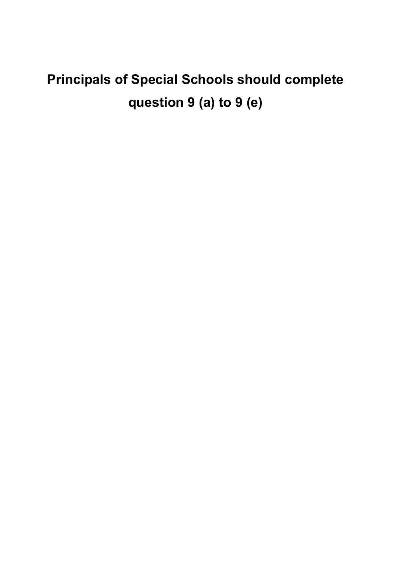# **Principals of Special Schools should complete question 9 (a) to 9 (e)**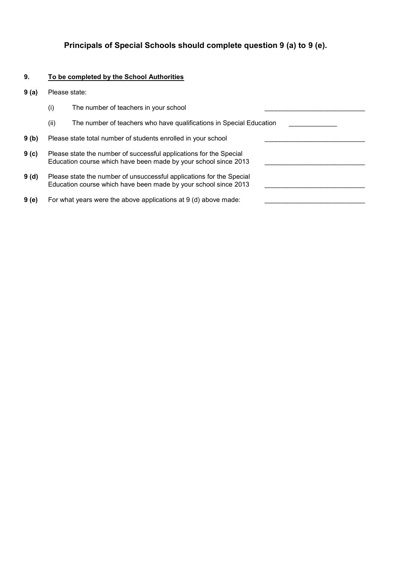# **Principals of Special Schools should complete question 9 (a) to 9 (e).**

#### **9. To be completed by the School Authorities**

- **9 (a)** Please state:
	- $(i)$  The number of teachers in your school
	- (ii) The number of teachers who have qualifications in Special Education
- **9 (b)** Please state total number of students enrolled in your school
- **9 (c)** Please state the number of successful applications for the Special Education course which have been made by your school since 2013
- **9 (d)** Please state the number of unsuccessful applications for the Special Education course which have been made by your school since 2013
- **9 (e)** For what years were the above applications at 9 (d) above made: